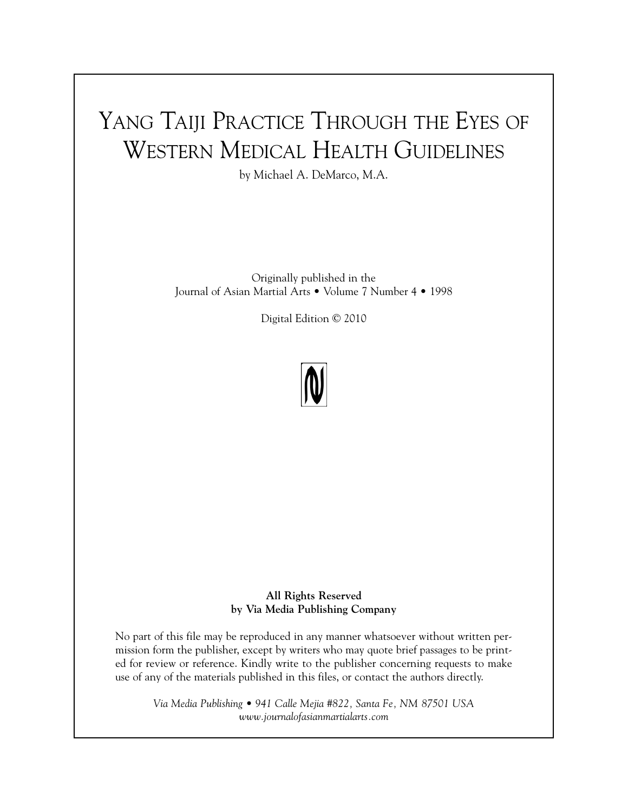## YANG TAIJI PRACTICE THROUGH THE EYES OF WESTERN MEDICAL HEALTH GUIDELINES

by Michael A. DeMarco, M.A.

Originally published in the Journal of Asian Martial Arts • Volume 7 Number 4 • 1998

Digital Edition © 2010



**All Rights Reserved by Via Media Publishing Company**

No part of this file may be reproduced in any manner whatsoever without written permission form the publisher, except by writers who may quote brief passages to be printed for review or reference. Kindly write to the publisher concerning requests to make use of any of the materials published in this files, or contact the authors directly.

*Via Media Publishing • 941 Calle Mejia #822, Santa Fe, NM 87501 USA www.journalofasianmartialarts.com*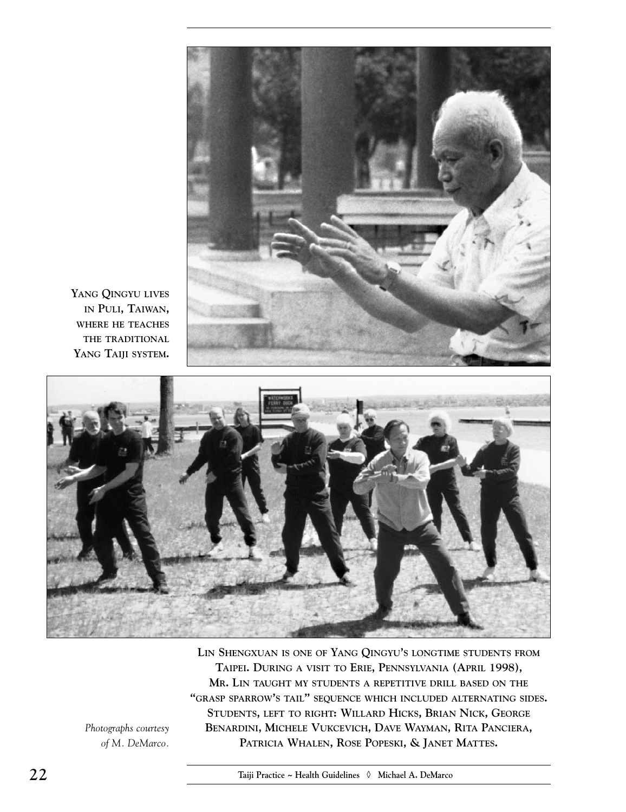

**YANG QINGYU LIVES IN PULI, TAIWAN, WHERE HE TEACHES THE TRADITIONAL YANG TAIJI SYSTEM.**



**LIN SHENGXUAN IS ONE OF YANG QINGYU'S LONGTIME STUDENTS FROM TAIPEI. DURING A VISIT TO ERIE, PENNSYLVANIA (APRIL 1998), MR. LIN TAUGHT MY STUDENTS A REPETITIVE DRILL BASED ON THE "GRASP SPARROW'S TAIL" SEQUENCE WHICH INCLUDED ALTERNATING SIDES. STUDENTS, LEFT TO RIGHT: WILLARD HICKS, BRIAN NICK, GEORGE BENARDINI, MICHELE VUKCEVICH, DAVE WAYMAN, RITA PANCIERA, PATRICIA WHALEN, ROSE POPESKI, & JANET MATTES.**

*Photographs courtesy of M. DeMarco.*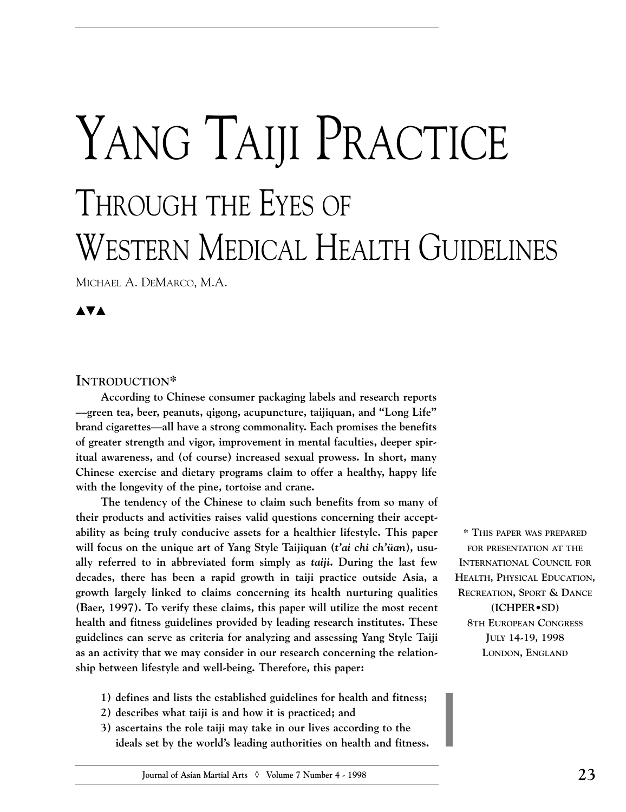# YANG TAIJI PRACTICE THROUGH THE EYES OF WESTERN MEDICAL HEALTH GUIDELINES

MICHAEL A. DEMARCO, M.A.

**▲▼▲**

#### **INTRODUCTION\***

**According to Chinese consumer packaging labels and research reports ––green tea, beer, peanuts, qigong, acupuncture, taijiquan, and "Long Life" brand cigarettes––all have a strong commonality. Each promises the benefits of greater strength and vigor, improvement in mental faculties, deeper spiritual awareness, and (of course) increased sexual prowess. In short, many Chinese exercise and dietary programs claim to offer a healthy, happy life with the longevity of the pine, tortoise and crane.**

**The tendency of the Chinese to claim such benefits from so many of their products and activities raises valid questions concerning their acceptability as being truly conducive assets for a healthier lifestyle. This paper will focus on the unique art of Yang Style Taijiquan (***t'ai chi ch'üan***), usually referred to in abbreviated form simply as** *taiji***. During the last few decades, there has been a rapid growth in taiji practice outside Asia, a growth largely linked to claims concerning its health nurturing qualities (Baer, 1997). To verify these claims, this paper will utilize the most recent health and fitness guidelines provided by leading research institutes. These guidelines can serve as criteria for analyzing and assessing Yang Style Taiji as an activity that we may consider in our research concerning the relationship between lifestyle and well-being. Therefore, this paper:** 

- **1) defines and lists the established guidelines for health and fitness;**
- **2) describes what taiji is and how it is practiced; and**
- **3) ascertains the role taiji may take in our lives according to the ideals set by the world's leading authorities on health and fitness.**

**\* THIS PAPER WAS PREPARED FOR PRESENTATION AT THE INTERNATIONAL COUNCIL FOR HEALTH, PHYSICAL EDUCATION, RECREATION, SPORT & DANCE (ICHPER•SD) 8TH EUROPEAN CONGRESS JULY 14-19, 1998 LONDON, ENGLAND**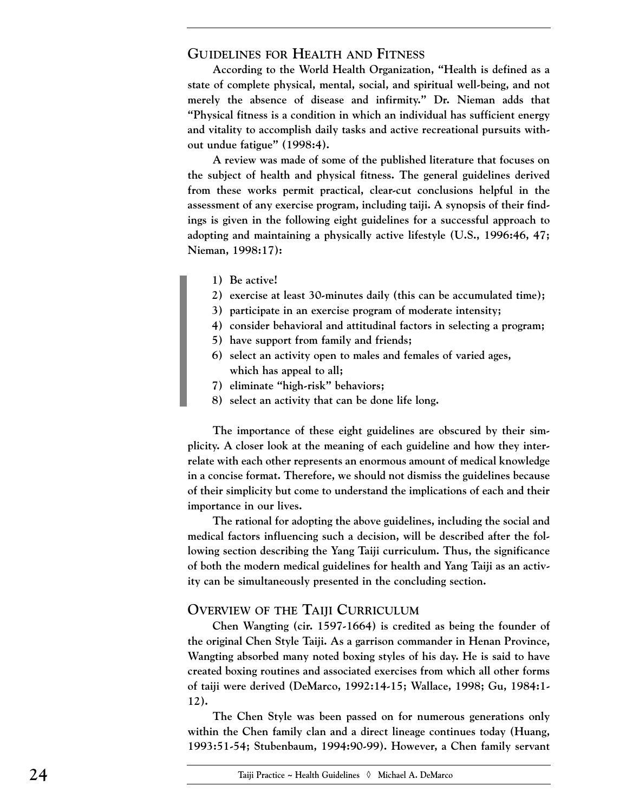#### **GUIDELINES FOR HEALTH AND FITNESS**

**According to the World Health Organization, "Health is defined as a state of complete physical, mental, social, and spiritual well-being, and not merely the absence of disease and infirmity." Dr. Nieman adds that "Physical fitness is a condition in which an individual has sufficient energy and vitality to accomplish daily tasks and active recreational pursuits without undue fatigue" (1998:4).**

**A review was made of some of the published literature that focuses on the subject of health and physical fitness. The general guidelines derived from these works permit practical, clear-cut conclusions helpful in the assessment of any exercise program, including taiji. A synopsis of their findings is given in the following eight guidelines for a successful approach to adopting and maintaining a physically active lifestyle (U.S., 1996:46, 47; Nieman, 1998:17):** 

- **1) Be active!**
- **2) exercise at least 30-minutes daily (this can be accumulated time);**
- **3) participate in an exercise program of moderate intensity;**
- **4) consider behavioral and attitudinal factors in selecting a program;**
- **5) have support from family and friends;**
- **6) select an activity open to males and females of varied ages, which has appeal to all;**
- **7) eliminate "high-risk" behaviors;**
- **8) select an activity that can be done life long.**

**The importance of these eight guidelines are obscured by their simplicity. A closer look at the meaning of each guideline and how they interrelate with each other represents an enormous amount of medical knowledge in a concise format. Therefore, we should not dismiss the guidelines because of their simplicity but come to understand the implications of each and their importance in our lives.**

**The rational for adopting the above guidelines, including the social and medical factors influencing such a decision, will be described after the following section describing the Yang Taiji curriculum. Thus, the significance of both the modern medical guidelines for health and Yang Taiji as an activity can be simultaneously presented in the concluding section.** 

#### **OVERVIEW OF THE TAIJI CURRICULUM**

**Chen Wangting (cir. 1597-1664) is credited as being the founder of the original Chen Style Taiji. As a garrison commander in Henan Province, Wangting absorbed many noted boxing styles of his day. He is said to have created boxing routines and associated exercises from which all other forms of taiji were derived (DeMarco, 1992:14-15; Wallace, 1998; Gu, 1984:1- 12).** 

**The Chen Style was been passed on for numerous generations only within the Chen family clan and a direct lineage continues today (Huang, 1993:51-54; Stubenbaum, 1994:90-99). However, a Chen family servant**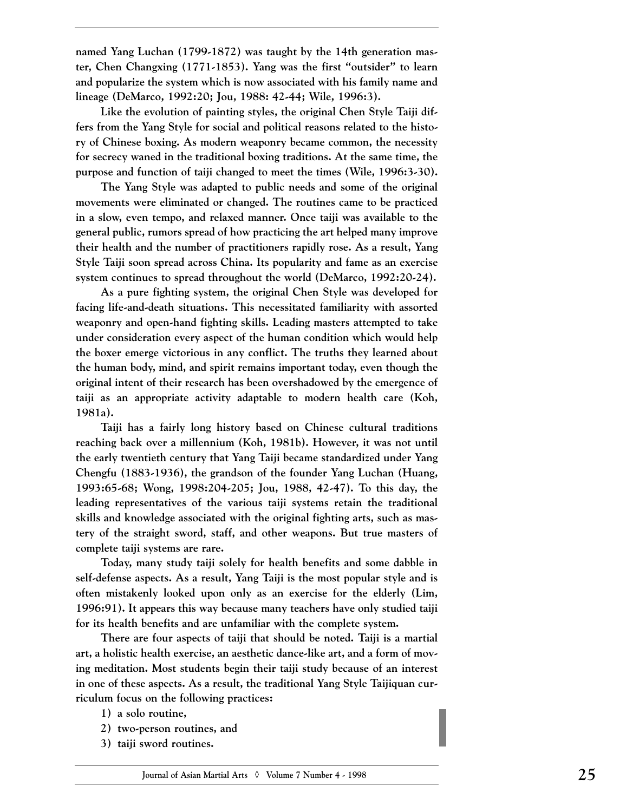**named Yang Luchan (1799-1872) was taught by the 14th generation master, Chen Changxing (1771-1853). Yang was the first "outsider" to learn and popularize the system which is now associated with his family name and lineage (DeMarco, 1992:20; Jou, 1988: 42-44; Wile, 1996:3).** 

**Like the evolution of painting styles, the original Chen Style Taiji differs from the Yang Style for social and political reasons related to the history of Chinese boxing. As modern weaponry became common, the necessity for secrecy waned in the traditional boxing traditions. At the same time, the purpose and function of taiji changed to meet the times (Wile, 1996:3-30).**

**The Yang Style was adapted to public needs and some of the original movements were eliminated or changed. The routines came to be practiced in a slow, even tempo, and relaxed manner. Once taiji was available to the general public, rumors spread of how practicing the art helped many improve their health and the number of practitioners rapidly rose. As a result, Yang Style Taiji soon spread across China. Its popularity and fame as an exercise system continues to spread throughout the world (DeMarco, 1992:20-24).** 

**As a pure fighting system, the original Chen Style was developed for facing life-and-death situations. This necessitated familiarity with assorted weaponry and open-hand fighting skills. Leading masters attempted to take under consideration every aspect of the human condition which would help the boxer emerge victorious in any conflict. The truths they learned about the human body, mind, and spirit remains important today, even though the original intent of their research has been overshadowed by the emergence of taiji as an appropriate activity adaptable to modern health care (Koh, 1981a).**

**Taiji has a fairly long history based on Chinese cultural traditions reaching back over a millennium (Koh, 1981b). However, it was not until the early twentieth century that Yang Taiji became standardized under Yang Chengfu (1883-1936), the grandson of the founder Yang Luchan (Huang, 1993:65-68; Wong, 1998:204-205; Jou, 1988, 42-47). To this day, the leading representatives of the various taiji systems retain the traditional skills and knowledge associated with the original fighting arts, such as mastery of the straight sword, staff, and other weapons. But true masters of complete taiji systems are rare.** 

**Today, many study taiji solely for health benefits and some dabble in self-defense aspects. As a result, Yang Taiji is the most popular style and is often mistakenly looked upon only as an exercise for the elderly (Lim, 1996:91). It appears this way because many teachers have only studied taiji for its health benefits and are unfamiliar with the complete system.**

**There are four aspects of taiji that should be noted. Taiji is a martial art, a holistic health exercise, an aesthetic dance-like art, and a form of moving meditation. Most students begin their taiji study because of an interest in one of these aspects. As a result, the traditional Yang Style Taijiquan curriculum focus on the following practices:** 

- **1) a solo routine,**
- **2) two-person routines, and**
- **3) taiji sword routines.**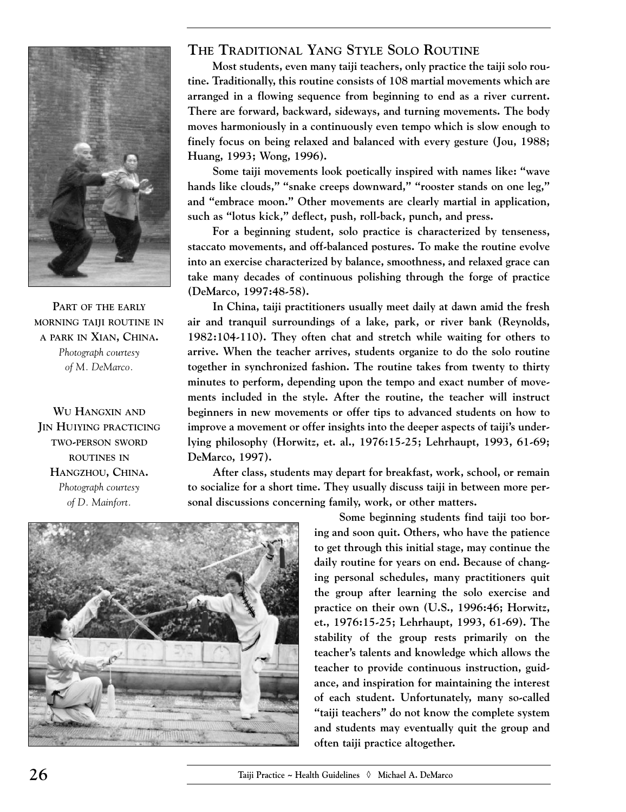

**PART OF THE EARLY MORNING TAIJI ROUTINE IN A PARK IN XIAN, CHINA.** *Photograph courtesy of M. DeMarco.*

**WU HANGXIN AND JIN HUIYING PRACTICING TWO-PERSON SWORD ROUTINES IN HANGZHOU, CHINA.** *Photograph courtesy of D. Mainfort.*

### **THE TRADITIONAL YANG STYLE SOLO ROUTINE**

**Most students, even many taiji teachers, only practice the taiji solo routine. Traditionally, this routine consists of 108 martial movements which are arranged in a flowing sequence from beginning to end as a river current. There are forward, backward, sideways, and turning movements. The body moves harmoniously in a continuously even tempo which is slow enough to finely focus on being relaxed and balanced with every gesture (Jou, 1988; Huang, 1993; Wong, 1996).** 

**Some taiji movements look poetically inspired with names like: "wave hands like clouds," "snake creeps downward," "rooster stands on one leg," and "embrace moon." Other movements are clearly martial in application, such as "lotus kick," deflect, push, roll-back, punch, and press.** 

**For a beginning student, solo practice is characterized by tenseness, staccato movements, and off-balanced postures. To make the routine evolve into an exercise characterized by balance, smoothness, and relaxed grace can take many decades of continuous polishing through the forge of practice (DeMarco, 1997:48-58).**

**In China, taiji practitioners usually meet daily at dawn amid the fresh air and tranquil surroundings of a lake, park, or river bank (Reynolds, 1982:104-110). They often chat and stretch while waiting for others to arrive. When the teacher arrives, students organize to do the solo routine together in synchronized fashion. The routine takes from twenty to thirty minutes to perform, depending upon the tempo and exact number of movements included in the style. After the routine, the teacher will instruct beginners in new movements or offer tips to advanced students on how to improve a movement or offer insights into the deeper aspects of taiji's underlying philosophy (Horwitz, et. al., 1976:15-25; Lehrhaupt, 1993, 61-69; DeMarco, 1997).** 

**After class, students may depart for breakfast, work, school, or remain to socialize for a short time. They usually discuss taiji in between more personal discussions concerning family, work, or other matters.** 



**Some beginning students find taiji too boring and soon quit. Others, who have the patience to get through this initial stage, may continue the daily routine for years on end. Because of changing personal schedules, many practitioners quit the group after learning the solo exercise and practice on their own (U.S., 1996:46; Horwitz, et., 1976:15-25; Lehrhaupt, 1993, 61-69). The stability of the group rests primarily on the teacher's talents and knowledge which allows the teacher to provide continuous instruction, guidance, and inspiration for maintaining the interest of each student. Unfortunately, many so-called "taiji teachers" do not know the complete system and students may eventually quit the group and often taiji practice altogether.**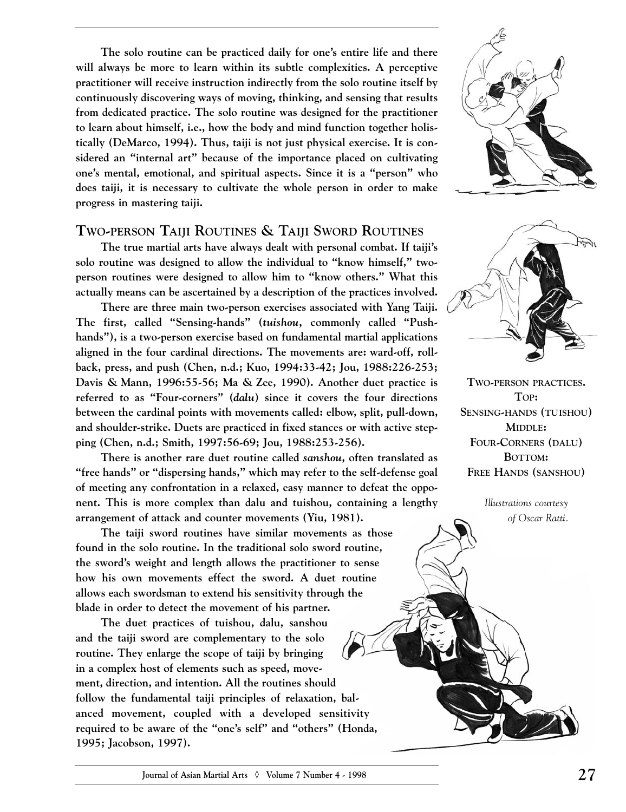**The solo routine can be practiced daily for one's entire life and there will always be more to learn within its subtle complexities. A perceptive practitioner will receive instruction indirectly from the solo routine itself by continuously discovering ways of moving, thinking, and sensing that results from dedicated practice. The solo routine was designed for the practitioner to learn about himself, i.e., how the body and mind function together holistically (DeMarco, 1994). Thus, taiji is not just physical exercise. It is considered an "internal art" because of the importance placed on cultivating one's mental, emotional, and spiritual aspects. Since it is a "person" who does taiji, it is necessary to cultivate the whole person in order to make progress in mastering taiji.**

#### **TWO-PERSON TAIJI ROUTINES & TAIJI SWORD ROUTINES**

**The true martial arts have always dealt with personal combat. If taiji's solo routine was designed to allow the individual to "know himself," twoperson routines were designed to allow him to "know others." What this actually means can be ascertained by a description of the practices involved.**

**There are three main two-person exercises associated with Yang Taiji. The first, called "Sensing-hands" (***tuishou,* **commonly called "Pushhands"), is a two-person exercise based on fundamental martial applications aligned in the four cardinal directions. The movements are: ward-off, rollback, press, and push (Chen, n.d.; Kuo, 1994:33-42; Jou, 1988:226-253; Davis & Mann, 1996:55-56; Ma & Zee, 1990). Another duet practice is referred to as "Four-corners" (***dalu***) since it covers the four directions between the cardinal points with movements called: elbow, split, pull-down, and shoulder-strike. Duets are practiced in fixed stances or with active stepping (Chen, n.d.; Smith, 1997:56-69; Jou, 1988:253-256).**

**There is another rare duet routine called** *sanshou***, often translated as "free hands" or "dispersing hands," which may refer to the self-defense goal of meeting any confrontation in a relaxed, easy manner to defeat the opponent. This is more complex than dalu and tuishou, containing a lengthy arrangement of attack and counter movements (Yiu, 1981).** 

**The taiji sword routines have similar movements as those found in the solo routine. In the traditional solo sword routine, the sword's weight and length allows the practitioner to sense how his own movements effect the sword. A duet routine allows each swordsman to extend his sensitivity through the blade in order to detect the movement of his partner.**

**The duet practices of tuishou, dalu, sanshou and the taiji sword are complementary to the solo routine. They enlarge the scope of taiji by bringing in a complex host of elements such as speed, movement, direction, and intention. All the routines should follow the fundamental taiji principles of relaxation, balanced movement, coupled with a developed sensitivity required to be aware of the "one's self" and "others" (Honda, 1995; Jacobson, 1997).** 





**TWO-PERSON PRACTICES. TOP: SENSING-HANDS (TUISHOU) MIDDLE: FOUR-CORNERS (DALU) BOTTOM: FREE HANDS (SANSHOU)**

> *Illustrations courtesy of Oscar Ratti.*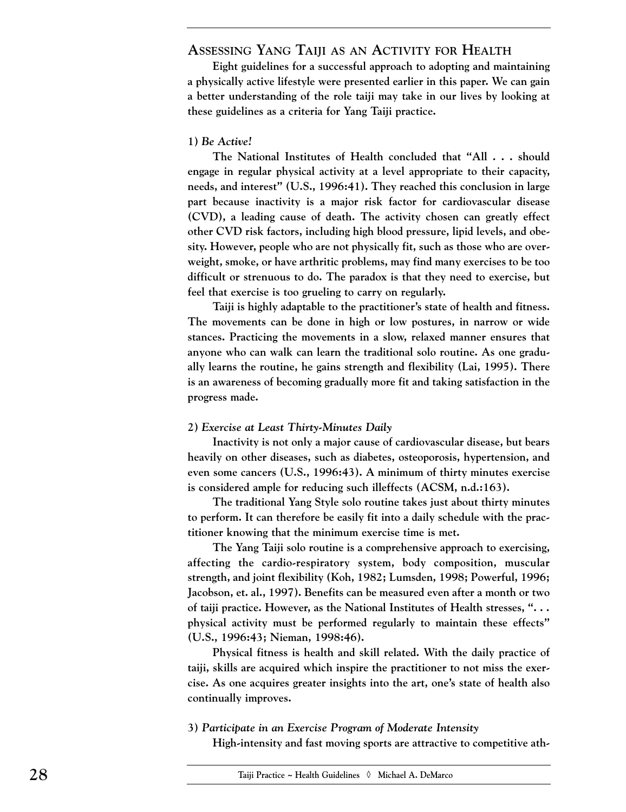#### **ASSESSING YANG TAIJI AS AN ACTIVITY FOR HEALTH**

**Eight guidelines for a successful approach to adopting and maintaining a physically active lifestyle were presented earlier in this paper. We can gain a better understanding of the role taiji may take in our lives by looking at these guidelines as a criteria for Yang Taiji practice.**

#### **1)** *Be Active!*

**The National Institutes of Health concluded that "All . . . should engage in regular physical activity at a level appropriate to their capacity, needs, and interest" (U.S., 1996:41). They reached this conclusion in large part because inactivity is a major risk factor for cardiovascular disease (CVD), a leading cause of death. The activity chosen can greatly effect other CVD risk factors, including high blood pressure, lipid levels, and obesity. However, people who are not physically fit, such as those who are overweight, smoke, or have arthritic problems, may find many exercises to be too difficult or strenuous to do. The paradox is that they need to exercise, but feel that exercise is too grueling to carry on regularly.** 

**Taiji is highly adaptable to the practitioner's state of health and fitness. The movements can be done in high or low postures, in narrow or wide stances. Practicing the movements in a slow, relaxed manner ensures that anyone who can walk can learn the traditional solo routine. As one gradually learns the routine, he gains strength and flexibility (Lai, 1995). There is an awareness of becoming gradually more fit and taking satisfaction in the progress made.**

#### **2)** *Exercise at Least Thirty-Minutes Daily*

**Inactivity is not only a major cause of cardiovascular disease, but bears heavily on other diseases, such as diabetes, osteoporosis, hypertension, and even some cancers (U.S., 1996:43). A minimum of thirty minutes exercise is considered ample for reducing such illeffects (ACSM, n.d.:163).**

**The traditional Yang Style solo routine takes just about thirty minutes to perform. It can therefore be easily fit into a daily schedule with the practitioner knowing that the minimum exercise time is met.** 

**The Yang Taiji solo routine is a comprehensive approach to exercising, affecting the cardio-respiratory system, body composition, muscular strength, and joint flexibility (Koh, 1982; Lumsden, 1998; Powerful, 1996; Jacobson, et. al., 1997). Benefits can be measured even after a month or two of taiji practice. However, as the National Institutes of Health stresses, ". . . physical activity must be performed regularly to maintain these effects" (U.S., 1996:43; Nieman, 1998:46).**

**Physical fitness is health and skill related. With the daily practice of taiji, skills are acquired which inspire the practitioner to not miss the exercise. As one acquires greater insights into the art, one's state of health also continually improves.**

**3)** *Participate in an Exercise Program of Moderate Intensity*

**High-intensity and fast moving sports are attractive to competitive ath-**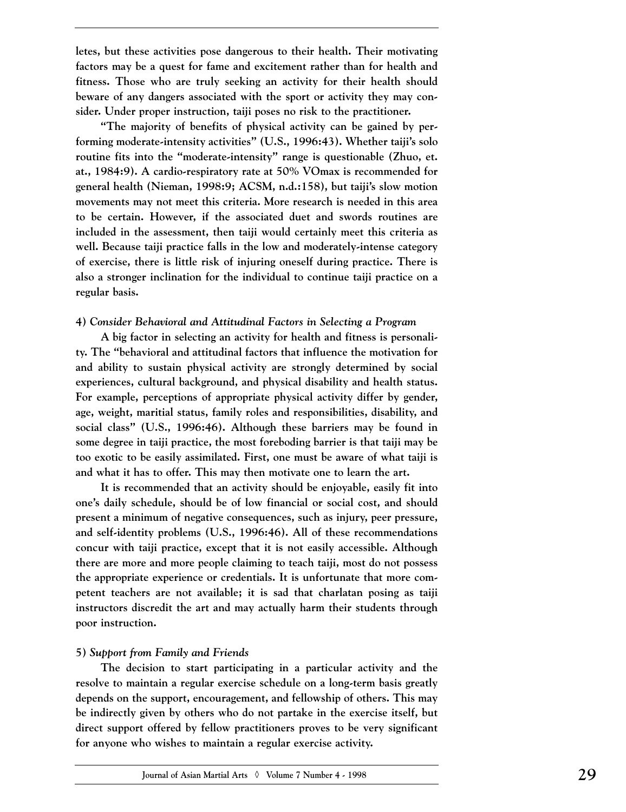**letes, but these activities pose dangerous to their health. Their motivating factors may be a quest for fame and excitement rather than for health and fitness. Those who are truly seeking an activity for their health should beware of any dangers associated with the sport or activity they may consider. Under proper instruction, taiji poses no risk to the practitioner.**

**"The majority of benefits of physical activity can be gained by performing moderate-intensity activities" (U.S., 1996:43). Whether taiji's solo routine fits into the "moderate-intensity" range is questionable (Zhuo, et. at., 1984:9). A cardio-respiratory rate at 50% VOmax is recommended for general health (Nieman, 1998:9; ACSM, n.d.:158), but taiji's slow motion movements may not meet this criteria. More research is needed in this area to be certain. However, if the associated duet and swords routines are included in the assessment, then taiji would certainly meet this criteria as well. Because taiji practice falls in the low and moderately-intense category of exercise, there is little risk of injuring oneself during practice. There is also a stronger inclination for the individual to continue taiji practice on a regular basis.** 

#### **4)** *Consider Behavioral and Attitudinal Factors in Selecting a Program*

**A big factor in selecting an activity for health and fitness is personality. The "behavioral and attitudinal factors that influence the motivation for and ability to sustain physical activity are strongly determined by social experiences, cultural background, and physical disability and health status. For example, perceptions of appropriate physical activity differ by gender, age, weight, maritial status, family roles and responsibilities, disability, and social class" (U.S., 1996:46). Although these barriers may be found in some degree in taiji practice, the most foreboding barrier is that taiji may be too exotic to be easily assimilated. First, one must be aware of what taiji is and what it has to offer. This may then motivate one to learn the art.**

**It is recommended that an activity should be enjoyable, easily fit into one's daily schedule, should be of low financial or social cost, and should present a minimum of negative consequences, such as injury, peer pressure, and self-identity problems (U.S., 1996:46). All of these recommendations concur with taiji practice, except that it is not easily accessible. Although there are more and more people claiming to teach taiji, most do not possess the appropriate experience or credentials. It is unfortunate that more competent teachers are not available; it is sad that charlatan posing as taiji instructors discredit the art and may actually harm their students through poor instruction.**

#### **5)** *Support from Family and Friends*

**The decision to start participating in a particular activity and the resolve to maintain a regular exercise schedule on a long-term basis greatly depends on the support, encouragement, and fellowship of others. This may be indirectly given by others who do not partake in the exercise itself, but direct support offered by fellow practitioners proves to be very significant for anyone who wishes to maintain a regular exercise activity.**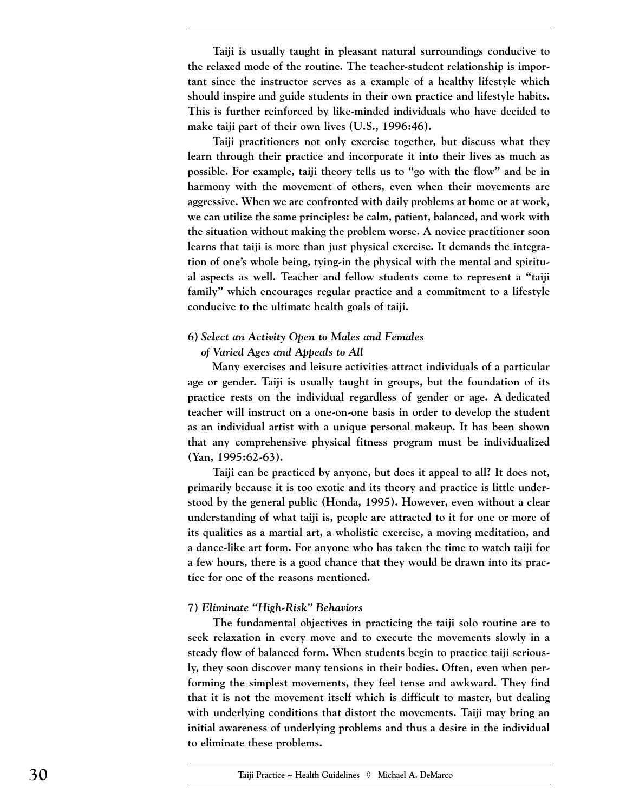**Taiji is usually taught in pleasant natural surroundings conducive to the relaxed mode of the routine. The teacher-student relationship is important since the instructor serves as a example of a healthy lifestyle which should inspire and guide students in their own practice and lifestyle habits. This is further reinforced by like-minded individuals who have decided to make taiji part of their own lives (U.S., 1996:46).**

**Taiji practitioners not only exercise together, but discuss what they learn through their practice and incorporate it into their lives as much as possible. For example, taiji theory tells us to "go with the flow" and be in harmony with the movement of others, even when their movements are aggressive. When we are confronted with daily problems at home or at work, we can utilize the same principles: be calm, patient, balanced, and work with the situation without making the problem worse. A novice practitioner soon learns that taiji is more than just physical exercise. It demands the integration of one's whole being, tying-in the physical with the mental and spiritual aspects as well. Teacher and fellow students come to represent a "taiji family" which encourages regular practice and a commitment to a lifestyle conducive to the ultimate health goals of taiji.** 

#### **6)** *Select an Activity Open to Males and Females*

#### *of Varied Ages and Appeals to All*

**Many exercises and leisure activities attract individuals of a particular age or gender. Taiji is usually taught in groups, but the foundation of its practice rests on the individual regardless of gender or age. A dedicated teacher will instruct on a one-on-one basis in order to develop the student as an individual artist with a unique personal makeup. It has been shown that any comprehensive physical fitness program must be individualized (Yan, 1995:62-63).**

**Taiji can be practiced by anyone, but does it appeal to all? It does not, primarily because it is too exotic and its theory and practice is little understood by the general public (Honda, 1995). However, even without a clear understanding of what taiji is, people are attracted to it for one or more of its qualities as a martial art, a wholistic exercise, a moving meditation, and a dance-like art form. For anyone who has taken the time to watch taiji for a few hours, there is a good chance that they would be drawn into its practice for one of the reasons mentioned.**

#### **7)** *Eliminate "High-Risk" Behaviors*

**The fundamental objectives in practicing the taiji solo routine are to seek relaxation in every move and to execute the movements slowly in a steady flow of balanced form. When students begin to practice taiji seriously, they soon discover many tensions in their bodies. Often, even when performing the simplest movements, they feel tense and awkward. They find that it is not the movement itself which is difficult to master, but dealing with underlying conditions that distort the movements. Taiji may bring an initial awareness of underlying problems and thus a desire in the individual to eliminate these problems.**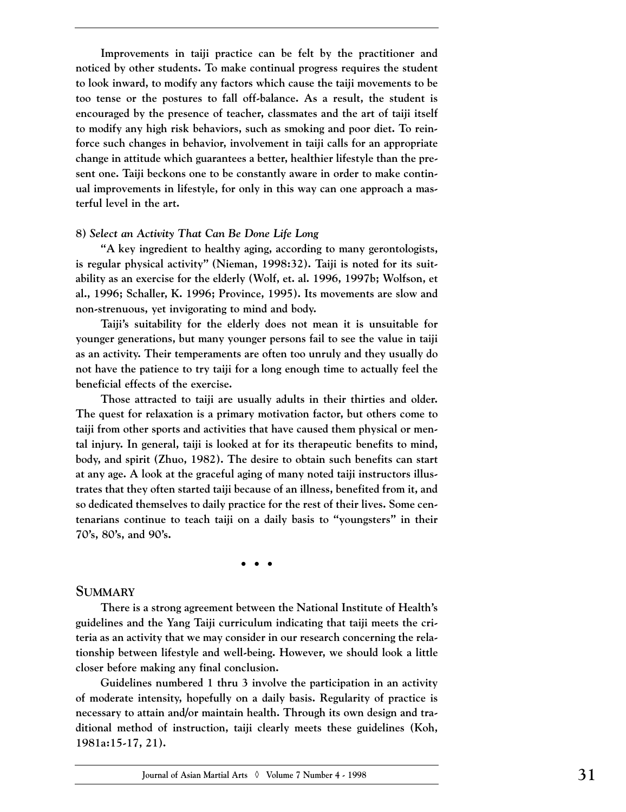**Improvements in taiji practice can be felt by the practitioner and noticed by other students. To make continual progress requires the student to look inward, to modify any factors which cause the taiji movements to be too tense or the postures to fall off-balance. As a result, the student is encouraged by the presence of teacher, classmates and the art of taiji itself to modify any high risk behaviors, such as smoking and poor diet. To reinforce such changes in behavior, involvement in taiji calls for an appropriate change in attitude which guarantees a better, healthier lifestyle than the present one. Taiji beckons one to be constantly aware in order to make continual improvements in lifestyle, for only in this way can one approach a masterful level in the art.** 

#### **8)** *Select an Activity That Can Be Done Life Long*

**"A key ingredient to healthy aging, according to many gerontologists, is regular physical activity" (Nieman, 1998:32). Taiji is noted for its suitability as an exercise for the elderly (Wolf, et. al. 1996, 1997b; Wolfson, et al., 1996; Schaller, K. 1996; Province, 1995). Its movements are slow and non-strenuous, yet invigorating to mind and body.** 

**Taiji's suitability for the elderly does not mean it is unsuitable for younger generations, but many younger persons fail to see the value in taiji as an activity. Their temperaments are often too unruly and they usually do not have the patience to try taiji for a long enough time to actually feel the beneficial effects of the exercise.**

**Those attracted to taiji are usually adults in their thirties and older. The quest for relaxation is a primary motivation factor, but others come to taiji from other sports and activities that have caused them physical or mental injury. In general, taiji is looked at for its therapeutic benefits to mind, body, and spirit (Zhuo, 1982). The desire to obtain such benefits can start at any age. A look at the graceful aging of many noted taiji instructors illustrates that they often started taiji because of an illness, benefited from it, and so dedicated themselves to daily practice for the rest of their lives. Some centenarians continue to teach taiji on a daily basis to "youngsters" in their 70's, 80's, and 90's.**

**•••**

#### **SUMMARY**

**There is a strong agreement between the National Institute of Health's guidelines and the Yang Taiji curriculum indicating that taiji meets the criteria as an activity that we may consider in our research concerning the relationship between lifestyle and well-being. However, we should look a little closer before making any final conclusion.** 

**Guidelines numbered 1 thru 3 involve the participation in an activity of moderate intensity, hopefully on a daily basis. Regularity of practice is necessary to attain and/or maintain health. Through its own design and traditional method of instruction, taiji clearly meets these guidelines (Koh, 1981a:15-17, 21).**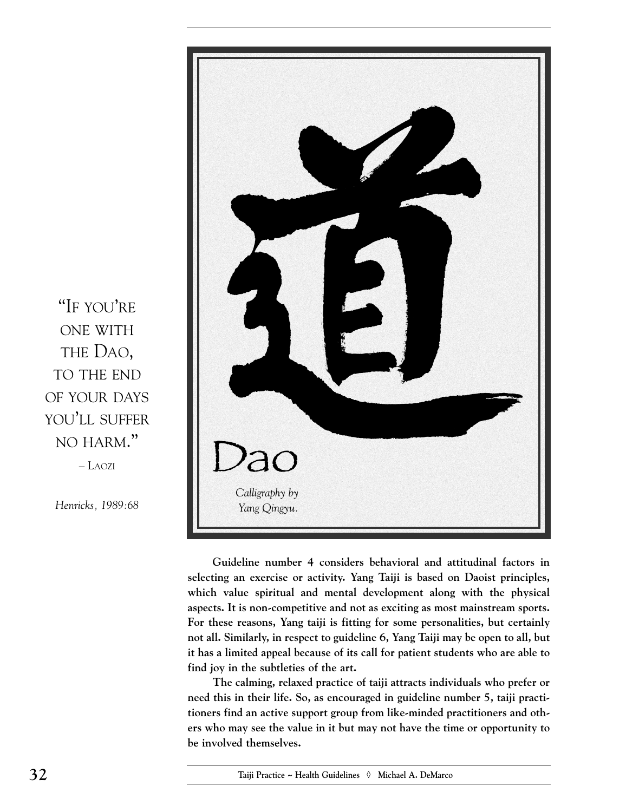

– LAOZI

*Henricks, 1989:68*



**Guideline number 4 considers behavioral and attitudinal factors in selecting an exercise or activity. Yang Taiji is based on Daoist principles, which value spiritual and mental development along with the physical aspects. It is non-competitive and not as exciting as most mainstream sports. For these reasons, Yang taiji is fitting for some personalities, but certainly not all. Similarly, in respect to guideline 6, Yang Taiji may be open to all, but it has a limited appeal because of its call for patient students who are able to find joy in the subtleties of the art.**

**The calming, relaxed practice of taiji attracts individuals who prefer or need this in their life. So, as encouraged in guideline number 5, taiji practitioners find an active support group from like-minded practitioners and others who may see the value in it but may not have the time or opportunity to be involved themselves.**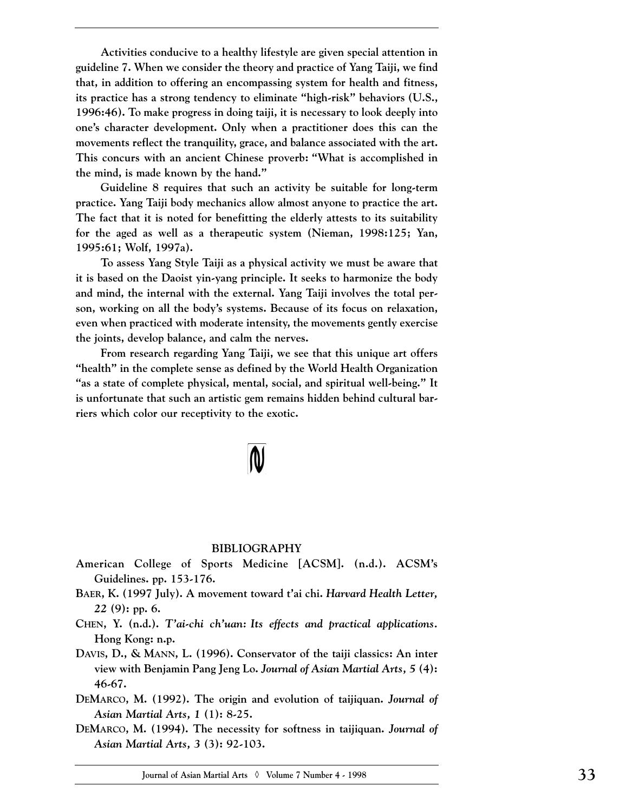**Activities conducive to a healthy lifestyle are given special attention in guideline 7. When we consider the theory and practice of Yang Taiji, we find that, in addition to offering an encompassing system for health and fitness, its practice has a strong tendency to eliminate "high-risk" behaviors (U.S., 1996:46). To make progress in doing taiji, it is necessary to look deeply into one's character development. Only when a practitioner does this can the movements reflect the tranquility, grace, and balance associated with the art. This concurs with an ancient Chinese proverb: "What is accomplished in the mind, is made known by the hand."** 

**Guideline 8 requires that such an activity be suitable for long-term practice. Yang Taiji body mechanics allow almost anyone to practice the art. The fact that it is noted for benefitting the elderly attests to its suitability for the aged as well as a therapeutic system (Nieman, 1998:125; Yan, 1995:61; Wolf, 1997a).** 

**To assess Yang Style Taiji as a physical activity we must be aware that it is based on the Daoist yin-yang principle. It seeks to harmonize the body and mind, the internal with the external. Yang Taiji involves the total person, working on all the body's systems. Because of its focus on relaxation, even when practiced with moderate intensity, the movements gently exercise the joints, develop balance, and calm the nerves.**

**From research regarding Yang Taiji, we see that this unique art offers "health" in the complete sense as defined by the World Health Organization "as a state of complete physical, mental, social, and spiritual well-being." It is unfortunate that such an artistic gem remains hidden behind cultural barriers which color our receptivity to the exotic.** 

#### **BIBLIOGRAPHY**

- **American College of Sports Medicine [ACSM]. (n.d.). ACSM's Guidelines. pp. 153-176.**
- **BAER, K. (1997 July). A movement toward t'ai chi.** *Harvard Health Letter, 22* **(9): pp. 6.**
- **CHEN, Y. (n.d.).** *T'ai-chi ch'uan: Its effects and practical applications.* **Hong Kong: n.p.**
- **DAVIS, D., & MANN, L. (1996). Conservator of the taiji classics: An inter view with Benjamin Pang Jeng Lo.** *Journal of Asian Martial Arts, 5* **(4): 46-67.**
- **DEMARCO, M. (1992). The origin and evolution of taijiquan.** *Journal of Asian Martial Arts, 1* **(1): 8-25.**
- **DEMARCO, M. (1994). The necessity for softness in taijiquan.** *Journal of Asian Martial Arts, 3* **(3): 92-103.**

**Journal of Asian Martial Arts** ◊ **Volume 7 Number 4 - 1998 33**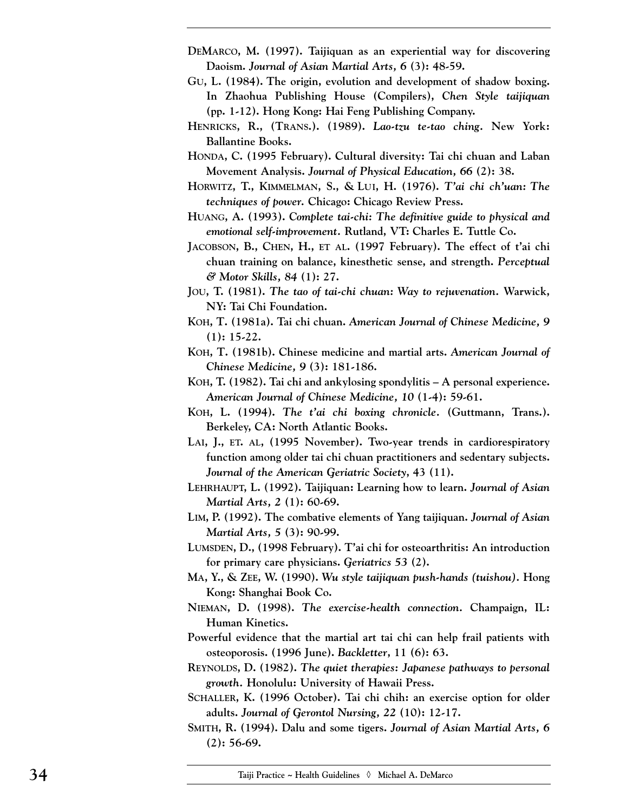- **DEMARCO, M. (1997). Taijiquan as an experiential way for discovering Daoism.** *Journal of Asian Martial Arts, 6* **(3): 48-59.**
- **GU, L. (1984). The origin, evolution and development of shadow boxing. In Zhaohua Publishing House (Compilers),** *Chen Style taijiquan* **(pp. 1-12). Hong Kong: Hai Feng Publishing Company.**
- **HENRICKS, R., (TRANS.). (1989).** *Lao-tzu te-tao ching.* **New York: Ballantine Books.**
- **HONDA, C. (1995 February). Cultural diversity: Tai chi chuan and Laban Movement Analysis.** *Journal of Physical Education, 66* **(2): 38.**
- **HORWITZ, T., KIMMELMAN, S., & LUI, H. (1976).** *T'ai chi ch'uan: The techniques of power.* **Chicago: Chicago Review Press.**
- **HUANG, A. (1993).** *Complete tai-chi: The definitive guide to physical and emotional self-improvement.* **Rutland, VT: Charles E. Tuttle Co.**
- **JACOBSON, B., CHEN, H., ET AL. (1997 February). The effect of t'ai chi chuan training on balance, kinesthetic sense, and strength.** *Perceptual & Motor Skills, 84* **(1): 27.**
- **JOU, T. (1981).** *The tao of tai-chi chuan: Way to rejuvenation.* **Warwick, NY: Tai Chi Foundation.**
- **KOH, T. (1981a). Tai chi chuan.** *American Journal of Chinese Medicine, 9* **(1): 15-22.**
- **KOH, T. (1981b). Chinese medicine and martial arts.** *American Journal of Chinese Medicine, 9* **(3): 181-186.**
- **KOH, T. (1982). Tai chi and ankylosing spondylitis A personal experience.** *American Journal of Chinese Medicine, 10* **(1-4): 59-61.**
- **KOH, L. (1994).** *The t'ai chi boxing chronicle.* **(Guttmann, Trans.). Berkeley, CA: North Atlantic Books.**
- **LAI, J., ET. AL, (1995 November). Two-year trends in cardiorespiratory function among older tai chi chuan practitioners and sedentary subjects.** *Journal of the American Geriatric Society***, 43 (11).**
- **LEHRHAUPT, L. (1992). Taijiquan: Learning how to learn.** *Journal of Asian Martial Arts, 2* **(1): 60-69.**
- **LIM, P. (1992). The combative elements of Yang taijiquan.** *Journal of Asian Martial Arts, 5* **(3): 90-99.**
- **LUMSDEN, D., (1998 February). T'ai chi for osteoarthritis: An introduction for primary care physicians.** *Geriatrics 53* **(2).**
- **MA, Y., & ZEE, W. (1990).** *Wu style taijiquan push-hands (tuishou).* **Hong Kong: Shanghai Book Co.**
- **NIEMAN, D. (1998).** *The exercise-health connection.* **Champaign, IL: Human Kinetics.**
- **Powerful evidence that the martial art tai chi can help frail patients with osteoporosis. (1996 June).** *Backletter***, 11 (6): 63.**
- **REYNOLDS, D. (1982).** *The quiet therapies: Japanese pathways to personal growth.* **Honolulu: University of Hawaii Press.**
- **SCHALLER, K. (1996 October). Tai chi chih: an exercise option for older adults.** *Journal of Gerontol Nursing, 22* **(10): 12-17.**
- **SMITH, R. (1994). Dalu and some tigers.** *Journal of Asian Martial Arts, 6* **(2): 56-69.**